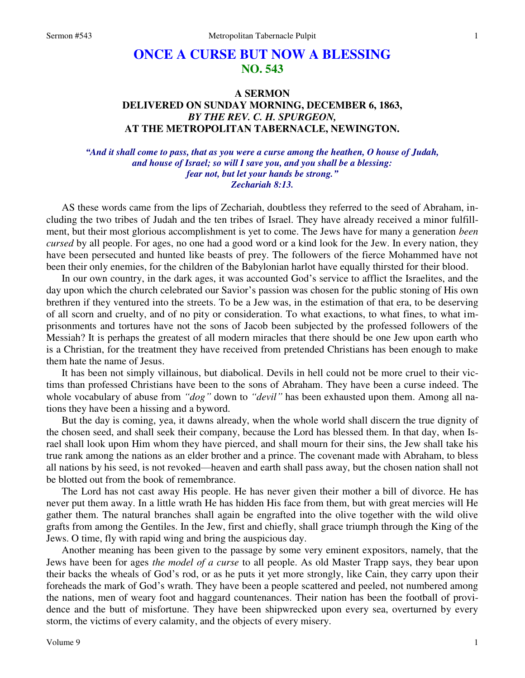# **ONCE A CURSE BUT NOW A BLESSING NO. 543**

# **A SERMON DELIVERED ON SUNDAY MORNING, DECEMBER 6, 1863,**  *BY THE REV. C. H. SPURGEON,*  **AT THE METROPOLITAN TABERNACLE, NEWINGTON.**

## *"And it shall come to pass, that as you were a curse among the heathen, O house of Judah, and house of Israel; so will I save you, and you shall be a blessing: fear not, but let your hands be strong." Zechariah 8:13.*

AS these words came from the lips of Zechariah, doubtless they referred to the seed of Abraham, including the two tribes of Judah and the ten tribes of Israel. They have already received a minor fulfillment, but their most glorious accomplishment is yet to come. The Jews have for many a generation *been cursed* by all people. For ages, no one had a good word or a kind look for the Jew. In every nation, they have been persecuted and hunted like beasts of prey. The followers of the fierce Mohammed have not been their only enemies, for the children of the Babylonian harlot have equally thirsted for their blood.

In our own country, in the dark ages, it was accounted God's service to afflict the Israelites, and the day upon which the church celebrated our Savior's passion was chosen for the public stoning of His own brethren if they ventured into the streets. To be a Jew was, in the estimation of that era, to be deserving of all scorn and cruelty, and of no pity or consideration. To what exactions, to what fines, to what imprisonments and tortures have not the sons of Jacob been subjected by the professed followers of the Messiah? It is perhaps the greatest of all modern miracles that there should be one Jew upon earth who is a Christian, for the treatment they have received from pretended Christians has been enough to make them hate the name of Jesus.

It has been not simply villainous, but diabolical. Devils in hell could not be more cruel to their victims than professed Christians have been to the sons of Abraham. They have been a curse indeed. The whole vocabulary of abuse from *"dog"* down to *"devil"* has been exhausted upon them. Among all nations they have been a hissing and a byword.

But the day is coming, yea, it dawns already, when the whole world shall discern the true dignity of the chosen seed, and shall seek their company, because the Lord has blessed them. In that day, when Israel shall look upon Him whom they have pierced, and shall mourn for their sins, the Jew shall take his true rank among the nations as an elder brother and a prince. The covenant made with Abraham, to bless all nations by his seed, is not revoked—heaven and earth shall pass away, but the chosen nation shall not be blotted out from the book of remembrance.

The Lord has not cast away His people. He has never given their mother a bill of divorce. He has never put them away. In a little wrath He has hidden His face from them, but with great mercies will He gather them. The natural branches shall again be engrafted into the olive together with the wild olive grafts from among the Gentiles. In the Jew, first and chiefly, shall grace triumph through the King of the Jews. O time, fly with rapid wing and bring the auspicious day.

Another meaning has been given to the passage by some very eminent expositors, namely, that the Jews have been for ages *the model of a curse* to all people. As old Master Trapp says, they bear upon their backs the wheals of God's rod, or as he puts it yet more strongly, like Cain, they carry upon their foreheads the mark of God's wrath. They have been a people scattered and peeled, not numbered among the nations, men of weary foot and haggard countenances. Their nation has been the football of providence and the butt of misfortune. They have been shipwrecked upon every sea, overturned by every storm, the victims of every calamity, and the objects of every misery.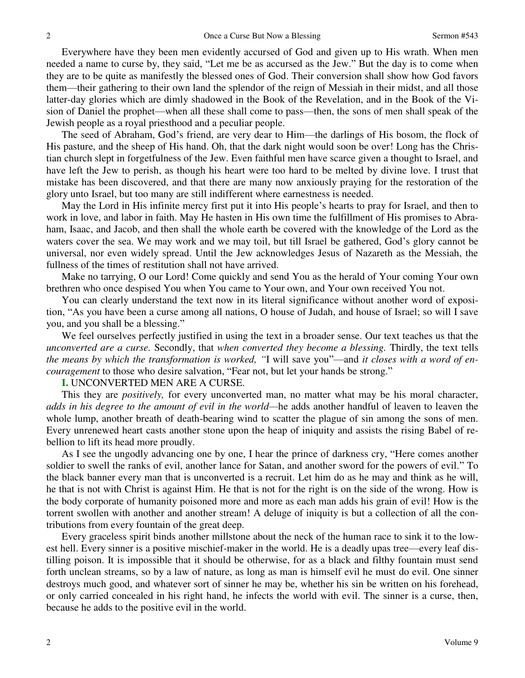Everywhere have they been men evidently accursed of God and given up to His wrath. When men needed a name to curse by, they said, "Let me be as accursed as the Jew." But the day is to come when they are to be quite as manifestly the blessed ones of God. Their conversion shall show how God favors them—their gathering to their own land the splendor of the reign of Messiah in their midst, and all those latter-day glories which are dimly shadowed in the Book of the Revelation, and in the Book of the Vision of Daniel the prophet—when all these shall come to pass—then, the sons of men shall speak of the Jewish people as a royal priesthood and a peculiar people.

The seed of Abraham, God's friend, are very dear to Him—the darlings of His bosom, the flock of His pasture, and the sheep of His hand. Oh, that the dark night would soon be over! Long has the Christian church slept in forgetfulness of the Jew. Even faithful men have scarce given a thought to Israel, and have left the Jew to perish, as though his heart were too hard to be melted by divine love. I trust that mistake has been discovered, and that there are many now anxiously praying for the restoration of the glory unto Israel, but too many are still indifferent where earnestness is needed.

May the Lord in His infinite mercy first put it into His people's hearts to pray for Israel, and then to work in love, and labor in faith. May He hasten in His own time the fulfillment of His promises to Abraham, Isaac, and Jacob, and then shall the whole earth be covered with the knowledge of the Lord as the waters cover the sea. We may work and we may toil, but till Israel be gathered, God's glory cannot be universal, nor even widely spread. Until the Jew acknowledges Jesus of Nazareth as the Messiah, the fullness of the times of restitution shall not have arrived.

Make no tarrying, O our Lord! Come quickly and send You as the herald of Your coming Your own brethren who once despised You when You came to Your own, and Your own received You not.

You can clearly understand the text now in its literal significance without another word of exposition, "As you have been a curse among all nations, O house of Judah, and house of Israel; so will I save you, and you shall be a blessing."

We feel ourselves perfectly justified in using the text in a broader sense. Our text teaches us that the *unconverted are a curse.* Secondly, that *when converted they become a blessing.* Thirdly, the text tells *the means by which the transformation is worked, "*I will save you"—and *it closes with a word of encouragement* to those who desire salvation, "Fear not, but let your hands be strong."

### **I.** UNCONVERTED MEN ARE A CURSE.

This they are *positively,* for every unconverted man, no matter what may be his moral character, *adds in his degree to the amount of evil in the world—*he adds another handful of leaven to leaven the whole lump, another breath of death-bearing wind to scatter the plague of sin among the sons of men. Every unrenewed heart casts another stone upon the heap of iniquity and assists the rising Babel of rebellion to lift its head more proudly.

As I see the ungodly advancing one by one, I hear the prince of darkness cry, "Here comes another soldier to swell the ranks of evil, another lance for Satan, and another sword for the powers of evil." To the black banner every man that is unconverted is a recruit. Let him do as he may and think as he will, he that is not with Christ is against Him. He that is not for the right is on the side of the wrong. How is the body corporate of humanity poisoned more and more as each man adds his grain of evil! How is the torrent swollen with another and another stream! A deluge of iniquity is but a collection of all the contributions from every fountain of the great deep.

Every graceless spirit binds another millstone about the neck of the human race to sink it to the lowest hell. Every sinner is a positive mischief-maker in the world. He is a deadly upas tree—every leaf distilling poison. It is impossible that it should be otherwise, for as a black and filthy fountain must send forth unclean streams, so by a law of nature, as long as man is himself evil he must do evil. One sinner destroys much good, and whatever sort of sinner he may be, whether his sin be written on his forehead, or only carried concealed in his right hand, he infects the world with evil. The sinner is a curse, then, because he adds to the positive evil in the world.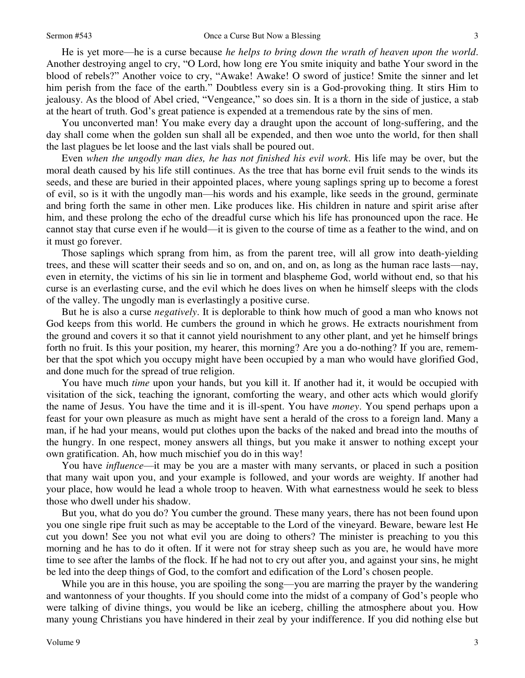3

He is yet more—he is a curse because *he helps to bring down the wrath of heaven upon the world*. Another destroying angel to cry, "O Lord, how long ere You smite iniquity and bathe Your sword in the blood of rebels?" Another voice to cry, "Awake! Awake! O sword of justice! Smite the sinner and let him perish from the face of the earth." Doubtless every sin is a God-provoking thing. It stirs Him to jealousy. As the blood of Abel cried, "Vengeance," so does sin. It is a thorn in the side of justice, a stab at the heart of truth. God's great patience is expended at a tremendous rate by the sins of men.

You unconverted man! You make every day a draught upon the account of long-suffering, and the day shall come when the golden sun shall all be expended, and then woe unto the world, for then shall the last plagues be let loose and the last vials shall be poured out.

Even *when the ungodly man dies, he has not finished his evil work*. His life may be over, but the moral death caused by his life still continues. As the tree that has borne evil fruit sends to the winds its seeds, and these are buried in their appointed places, where young saplings spring up to become a forest of evil, so is it with the ungodly man—his words and his example, like seeds in the ground, germinate and bring forth the same in other men. Like produces like. His children in nature and spirit arise after him, and these prolong the echo of the dreadful curse which his life has pronounced upon the race. He cannot stay that curse even if he would—it is given to the course of time as a feather to the wind, and on it must go forever.

Those saplings which sprang from him, as from the parent tree, will all grow into death-yielding trees, and these will scatter their seeds and so on, and on, and on, as long as the human race lasts—nay, even in eternity, the victims of his sin lie in torment and blaspheme God, world without end, so that his curse is an everlasting curse, and the evil which he does lives on when he himself sleeps with the clods of the valley. The ungodly man is everlastingly a positive curse.

But he is also a curse *negatively*. It is deplorable to think how much of good a man who knows not God keeps from this world. He cumbers the ground in which he grows. He extracts nourishment from the ground and covers it so that it cannot yield nourishment to any other plant, and yet he himself brings forth no fruit. Is this your position, my hearer, this morning? Are you a do-nothing? If you are, remember that the spot which you occupy might have been occupied by a man who would have glorified God, and done much for the spread of true religion.

You have much *time* upon your hands, but you kill it. If another had it, it would be occupied with visitation of the sick, teaching the ignorant, comforting the weary, and other acts which would glorify the name of Jesus. You have the time and it is ill-spent. You have *money*. You spend perhaps upon a feast for your own pleasure as much as might have sent a herald of the cross to a foreign land. Many a man, if he had your means, would put clothes upon the backs of the naked and bread into the mouths of the hungry. In one respect, money answers all things, but you make it answer to nothing except your own gratification. Ah, how much mischief you do in this way!

You have *influence*—it may be you are a master with many servants, or placed in such a position that many wait upon you, and your example is followed, and your words are weighty. If another had your place, how would he lead a whole troop to heaven. With what earnestness would he seek to bless those who dwell under his shadow.

But you, what do you do? You cumber the ground. These many years, there has not been found upon you one single ripe fruit such as may be acceptable to the Lord of the vineyard. Beware, beware lest He cut you down! See you not what evil you are doing to others? The minister is preaching to you this morning and he has to do it often. If it were not for stray sheep such as you are, he would have more time to see after the lambs of the flock. If he had not to cry out after you, and against your sins, he might be led into the deep things of God, to the comfort and edification of the Lord's chosen people.

While you are in this house, you are spoiling the song—you are marring the prayer by the wandering and wantonness of your thoughts. If you should come into the midst of a company of God's people who were talking of divine things, you would be like an iceberg, chilling the atmosphere about you. How many young Christians you have hindered in their zeal by your indifference. If you did nothing else but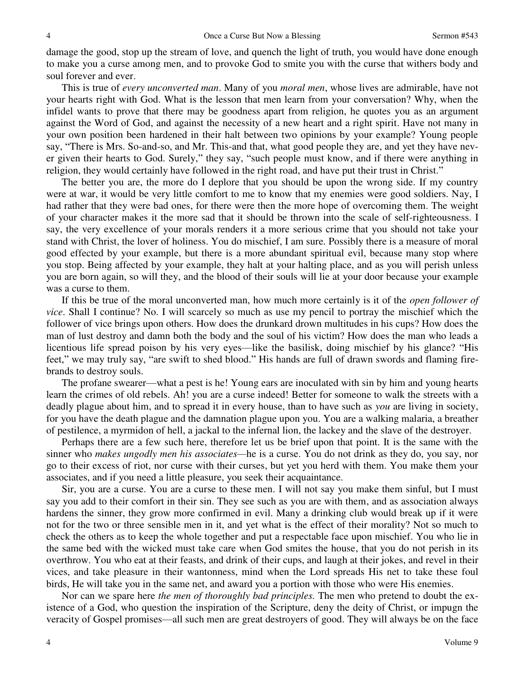damage the good, stop up the stream of love, and quench the light of truth, you would have done enough to make you a curse among men, and to provoke God to smite you with the curse that withers body and soul forever and ever.

This is true of *every unconverted man*. Many of you *moral men*, whose lives are admirable, have not your hearts right with God. What is the lesson that men learn from your conversation? Why, when the infidel wants to prove that there may be goodness apart from religion, he quotes you as an argument against the Word of God, and against the necessity of a new heart and a right spirit. Have not many in your own position been hardened in their halt between two opinions by your example? Young people say, "There is Mrs. So-and-so, and Mr. This-and that, what good people they are, and yet they have never given their hearts to God. Surely," they say, "such people must know, and if there were anything in religion, they would certainly have followed in the right road, and have put their trust in Christ."

The better you are, the more do I deplore that you should be upon the wrong side. If my country were at war, it would be very little comfort to me to know that my enemies were good soldiers. Nay, I had rather that they were bad ones, for there were then the more hope of overcoming them. The weight of your character makes it the more sad that it should be thrown into the scale of self-righteousness. I say, the very excellence of your morals renders it a more serious crime that you should not take your stand with Christ, the lover of holiness. You do mischief, I am sure. Possibly there is a measure of moral good effected by your example, but there is a more abundant spiritual evil, because many stop where you stop. Being affected by your example, they halt at your halting place, and as you will perish unless you are born again, so will they, and the blood of their souls will lie at your door because your example was a curse to them.

If this be true of the moral unconverted man, how much more certainly is it of the *open follower of vice*. Shall I continue? No. I will scarcely so much as use my pencil to portray the mischief which the follower of vice brings upon others. How does the drunkard drown multitudes in his cups? How does the man of lust destroy and damn both the body and the soul of his victim? How does the man who leads a licentious life spread poison by his very eyes—like the basilisk, doing mischief by his glance? "His feet," we may truly say, "are swift to shed blood." His hands are full of drawn swords and flaming firebrands to destroy souls.

The profane swearer—what a pest is he! Young ears are inoculated with sin by him and young hearts learn the crimes of old rebels. Ah! you are a curse indeed! Better for someone to walk the streets with a deadly plague about him, and to spread it in every house, than to have such as *you* are living in society, for you have the death plague and the damnation plague upon you. You are a walking malaria, a breather of pestilence, a myrmidon of hell, a jackal to the infernal lion, the lackey and the slave of the destroyer.

Perhaps there are a few such here, therefore let us be brief upon that point. It is the same with the sinner who *makes ungodly men his associates—*he is a curse. You do not drink as they do, you say, nor go to their excess of riot, nor curse with their curses, but yet you herd with them. You make them your associates, and if you need a little pleasure, you seek their acquaintance.

Sir, you are a curse. You are a curse to these men. I will not say you make them sinful, but I must say you add to their comfort in their sin. They see such as you are with them, and as association always hardens the sinner, they grow more confirmed in evil. Many a drinking club would break up if it were not for the two or three sensible men in it, and yet what is the effect of their morality? Not so much to check the others as to keep the whole together and put a respectable face upon mischief. You who lie in the same bed with the wicked must take care when God smites the house, that you do not perish in its overthrow. You who eat at their feasts, and drink of their cups, and laugh at their jokes, and revel in their vices, and take pleasure in their wantonness, mind when the Lord spreads His net to take these foul birds, He will take you in the same net, and award you a portion with those who were His enemies.

Nor can we spare here *the men of thoroughly bad principles.* The men who pretend to doubt the existence of a God, who question the inspiration of the Scripture, deny the deity of Christ, or impugn the veracity of Gospel promises—all such men are great destroyers of good. They will always be on the face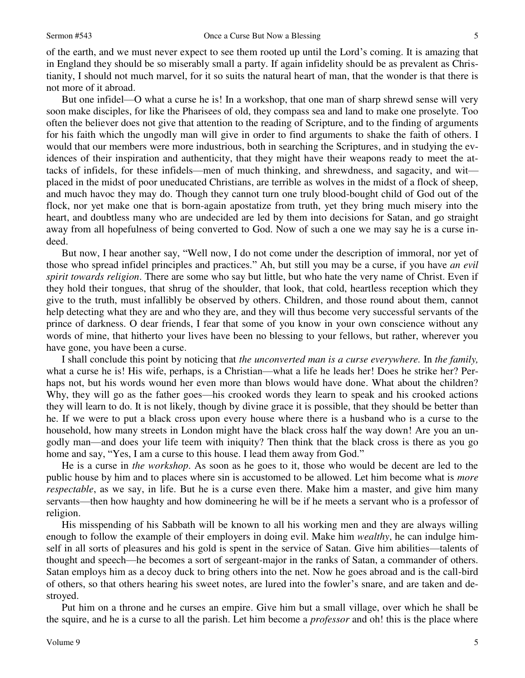of the earth, and we must never expect to see them rooted up until the Lord's coming. It is amazing that in England they should be so miserably small a party. If again infidelity should be as prevalent as Christianity, I should not much marvel, for it so suits the natural heart of man, that the wonder is that there is not more of it abroad.

But one infidel—O what a curse he is! In a workshop, that one man of sharp shrewd sense will very soon make disciples, for like the Pharisees of old, they compass sea and land to make one proselyte. Too often the believer does not give that attention to the reading of Scripture, and to the finding of arguments for his faith which the ungodly man will give in order to find arguments to shake the faith of others. I would that our members were more industrious, both in searching the Scriptures, and in studying the evidences of their inspiration and authenticity, that they might have their weapons ready to meet the attacks of infidels, for these infidels—men of much thinking, and shrewdness, and sagacity, and wit placed in the midst of poor uneducated Christians, are terrible as wolves in the midst of a flock of sheep, and much havoc they may do. Though they cannot turn one truly blood-bought child of God out of the flock, nor yet make one that is born-again apostatize from truth, yet they bring much misery into the heart, and doubtless many who are undecided are led by them into decisions for Satan, and go straight away from all hopefulness of being converted to God. Now of such a one we may say he is a curse indeed.

But now, I hear another say, "Well now, I do not come under the description of immoral, nor yet of those who spread infidel principles and practices." Ah, but still you may be a curse, if you have *an evil spirit towards religion*. There are some who say but little, but who hate the very name of Christ. Even if they hold their tongues, that shrug of the shoulder, that look, that cold, heartless reception which they give to the truth, must infallibly be observed by others. Children, and those round about them, cannot help detecting what they are and who they are, and they will thus become very successful servants of the prince of darkness. O dear friends, I fear that some of you know in your own conscience without any words of mine, that hitherto your lives have been no blessing to your fellows, but rather, wherever you have gone, you have been a curse.

I shall conclude this point by noticing that *the unconverted man is a curse everywhere.* In *the family,* what a curse he is! His wife, perhaps, is a Christian—what a life he leads her! Does he strike her? Perhaps not, but his words wound her even more than blows would have done. What about the children? Why, they will go as the father goes—his crooked words they learn to speak and his crooked actions they will learn to do. It is not likely, though by divine grace it is possible, that they should be better than he. If we were to put a black cross upon every house where there is a husband who is a curse to the household, how many streets in London might have the black cross half the way down! Are you an ungodly man—and does your life teem with iniquity? Then think that the black cross is there as you go home and say, "Yes, I am a curse to this house. I lead them away from God."

He is a curse in *the workshop*. As soon as he goes to it, those who would be decent are led to the public house by him and to places where sin is accustomed to be allowed. Let him become what is *more respectable*, as we say, in life. But he is a curse even there. Make him a master, and give him many servants—then how haughty and how domineering he will be if he meets a servant who is a professor of religion.

His misspending of his Sabbath will be known to all his working men and they are always willing enough to follow the example of their employers in doing evil. Make him *wealthy*, he can indulge himself in all sorts of pleasures and his gold is spent in the service of Satan. Give him abilities—talents of thought and speech—he becomes a sort of sergeant-major in the ranks of Satan, a commander of others. Satan employs him as a decoy duck to bring others into the net. Now he goes abroad and is the call-bird of others, so that others hearing his sweet notes, are lured into the fowler's snare, and are taken and destroyed.

Put him on a throne and he curses an empire. Give him but a small village, over which he shall be the squire, and he is a curse to all the parish. Let him become a *professor* and oh! this is the place where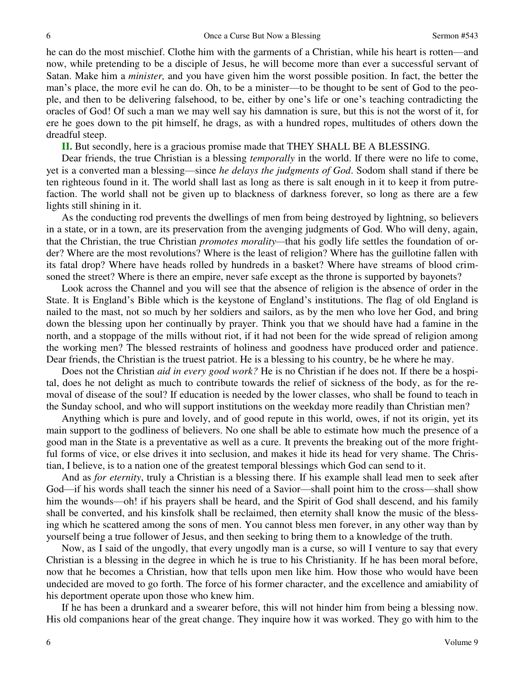he can do the most mischief. Clothe him with the garments of a Christian, while his heart is rotten—and now, while pretending to be a disciple of Jesus, he will become more than ever a successful servant of Satan. Make him a *minister,* and you have given him the worst possible position. In fact, the better the man's place, the more evil he can do. Oh, to be a minister—to be thought to be sent of God to the people, and then to be delivering falsehood, to be, either by one's life or one's teaching contradicting the oracles of God! Of such a man we may well say his damnation is sure, but this is not the worst of it, for ere he goes down to the pit himself, he drags, as with a hundred ropes, multitudes of others down the dreadful steep.

**II.** But secondly, here is a gracious promise made that THEY SHALL BE A BLESSING.

Dear friends, the true Christian is a blessing *temporally* in the world. If there were no life to come, yet is a converted man a blessing—since *he delays the judgments of God*. Sodom shall stand if there be ten righteous found in it. The world shall last as long as there is salt enough in it to keep it from putrefaction. The world shall not be given up to blackness of darkness forever, so long as there are a few lights still shining in it.

As the conducting rod prevents the dwellings of men from being destroyed by lightning, so believers in a state, or in a town, are its preservation from the avenging judgments of God. Who will deny, again, that the Christian, the true Christian *promotes morality—*that his godly life settles the foundation of order? Where are the most revolutions? Where is the least of religion? Where has the guillotine fallen with its fatal drop? Where have heads rolled by hundreds in a basket? Where have streams of blood crimsoned the street? Where is there an empire, never safe except as the throne is supported by bayonets?

Look across the Channel and you will see that the absence of religion is the absence of order in the State. It is England's Bible which is the keystone of England's institutions. The flag of old England is nailed to the mast, not so much by her soldiers and sailors, as by the men who love her God, and bring down the blessing upon her continually by prayer. Think you that we should have had a famine in the north, and a stoppage of the mills without riot, if it had not been for the wide spread of religion among the working men? The blessed restraints of holiness and goodness have produced order and patience. Dear friends, the Christian is the truest patriot. He is a blessing to his country, be he where he may.

Does not the Christian *aid in every good work?* He is no Christian if he does not. If there be a hospital, does he not delight as much to contribute towards the relief of sickness of the body, as for the removal of disease of the soul? If education is needed by the lower classes, who shall be found to teach in the Sunday school, and who will support institutions on the weekday more readily than Christian men?

Anything which is pure and lovely, and of good repute in this world, owes, if not its origin, yet its main support to the godliness of believers. No one shall be able to estimate how much the presence of a good man in the State is a preventative as well as a cure. It prevents the breaking out of the more frightful forms of vice, or else drives it into seclusion, and makes it hide its head for very shame. The Christian, I believe, is to a nation one of the greatest temporal blessings which God can send to it.

And as *for eternity*, truly a Christian is a blessing there. If his example shall lead men to seek after God—if his words shall teach the sinner his need of a Savior—shall point him to the cross—shall show him the wounds—oh! if his prayers shall be heard, and the Spirit of God shall descend, and his family shall be converted, and his kinsfolk shall be reclaimed, then eternity shall know the music of the blessing which he scattered among the sons of men. You cannot bless men forever, in any other way than by yourself being a true follower of Jesus, and then seeking to bring them to a knowledge of the truth.

Now, as I said of the ungodly, that every ungodly man is a curse, so will I venture to say that every Christian is a blessing in the degree in which he is true to his Christianity. If he has been moral before, now that he becomes a Christian, how that tells upon men like him. How those who would have been undecided are moved to go forth. The force of his former character, and the excellence and amiability of his deportment operate upon those who knew him.

If he has been a drunkard and a swearer before, this will not hinder him from being a blessing now. His old companions hear of the great change. They inquire how it was worked. They go with him to the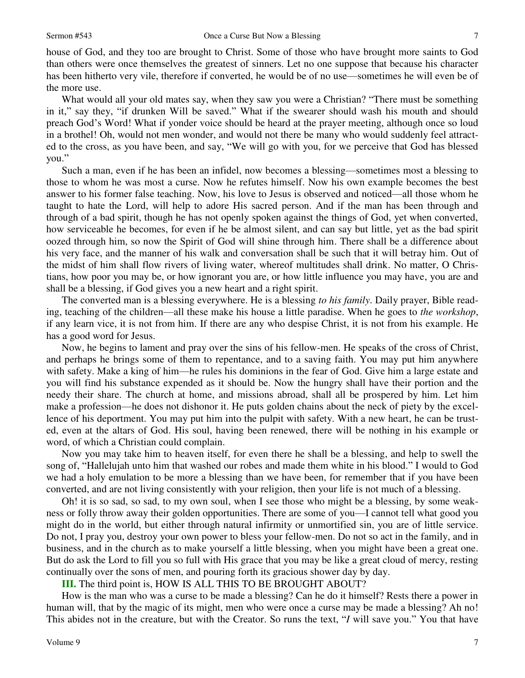7

house of God, and they too are brought to Christ. Some of those who have brought more saints to God than others were once themselves the greatest of sinners. Let no one suppose that because his character has been hitherto very vile, therefore if converted, he would be of no use—sometimes he will even be of the more use.

What would all your old mates say, when they saw you were a Christian? "There must be something in it," say they, "if drunken Will be saved." What if the swearer should wash his mouth and should preach God's Word! What if yonder voice should be heard at the prayer meeting, although once so loud in a brothel! Oh, would not men wonder, and would not there be many who would suddenly feel attracted to the cross, as you have been, and say, "We will go with you, for we perceive that God has blessed you."

Such a man, even if he has been an infidel, now becomes a blessing—sometimes most a blessing to those to whom he was most a curse. Now he refutes himself. Now his own example becomes the best answer to his former false teaching. Now, his love to Jesus is observed and noticed—all those whom he taught to hate the Lord, will help to adore His sacred person. And if the man has been through and through of a bad spirit, though he has not openly spoken against the things of God, yet when converted, how serviceable he becomes, for even if he be almost silent, and can say but little, yet as the bad spirit oozed through him, so now the Spirit of God will shine through him. There shall be a difference about his very face, and the manner of his walk and conversation shall be such that it will betray him. Out of the midst of him shall flow rivers of living water, whereof multitudes shall drink. No matter, O Christians, how poor you may be, or how ignorant you are, or how little influence you may have, you are and shall be a blessing, if God gives you a new heart and a right spirit.

The converted man is a blessing everywhere. He is a blessing *to his family*. Daily prayer, Bible reading, teaching of the children—all these make his house a little paradise. When he goes to *the workshop*, if any learn vice, it is not from him. If there are any who despise Christ, it is not from his example. He has a good word for Jesus.

Now, he begins to lament and pray over the sins of his fellow-men. He speaks of the cross of Christ, and perhaps he brings some of them to repentance, and to a saving faith. You may put him anywhere with safety. Make a king of him—he rules his dominions in the fear of God. Give him a large estate and you will find his substance expended as it should be. Now the hungry shall have their portion and the needy their share. The church at home, and missions abroad, shall all be prospered by him. Let him make a profession—he does not dishonor it. He puts golden chains about the neck of piety by the excellence of his deportment. You may put him into the pulpit with safety. With a new heart, he can be trusted, even at the altars of God. His soul, having been renewed, there will be nothing in his example or word, of which a Christian could complain.

Now you may take him to heaven itself, for even there he shall be a blessing, and help to swell the song of, "Hallelujah unto him that washed our robes and made them white in his blood." I would to God we had a holy emulation to be more a blessing than we have been, for remember that if you have been converted, and are not living consistently with your religion, then your life is not much of a blessing.

Oh! it is so sad, so sad, to my own soul, when I see those who might be a blessing, by some weakness or folly throw away their golden opportunities. There are some of you—I cannot tell what good you might do in the world, but either through natural infirmity or unmortified sin, you are of little service. Do not, I pray you, destroy your own power to bless your fellow-men. Do not so act in the family, and in business, and in the church as to make yourself a little blessing, when you might have been a great one. But do ask the Lord to fill you so full with His grace that you may be like a great cloud of mercy, resting continually over the sons of men, and pouring forth its gracious shower day by day.

### **III.** The third point is, HOW IS ALL THIS TO BE BROUGHT ABOUT?

How is the man who was a curse to be made a blessing? Can he do it himself? Rests there a power in human will, that by the magic of its might, men who were once a curse may be made a blessing? Ah no! This abides not in the creature, but with the Creator. So runs the text, "*I* will save you." You that have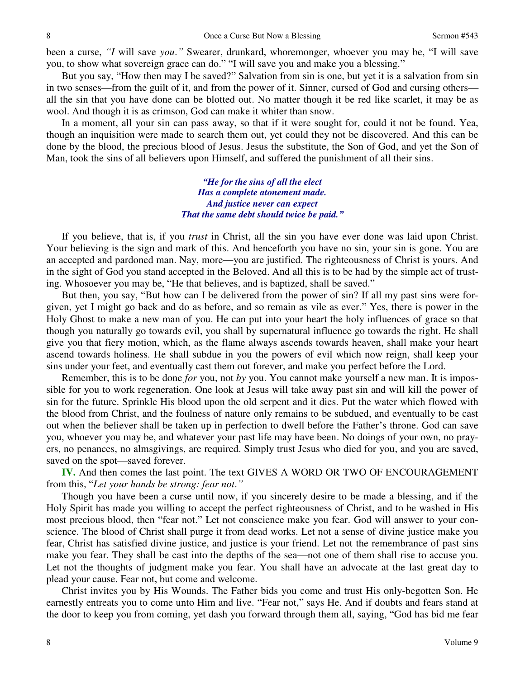been a curse, *"I* will save *you*.*"* Swearer, drunkard, whoremonger, whoever you may be, "I will save you, to show what sovereign grace can do." "I will save you and make you a blessing."

But you say, "How then may I be saved?" Salvation from sin is one, but yet it is a salvation from sin in two senses—from the guilt of it, and from the power of it. Sinner, cursed of God and cursing others all the sin that you have done can be blotted out. No matter though it be red like scarlet, it may be as wool. And though it is as crimson, God can make it whiter than snow.

In a moment, all your sin can pass away, so that if it were sought for, could it not be found. Yea, though an inquisition were made to search them out, yet could they not be discovered. And this can be done by the blood, the precious blood of Jesus. Jesus the substitute, the Son of God, and yet the Son of Man, took the sins of all believers upon Himself, and suffered the punishment of all their sins.

> *"He for the sins of all the elect Has a complete atonement made. And justice never can expect That the same debt should twice be paid."*

If you believe, that is, if you *trust* in Christ, all the sin you have ever done was laid upon Christ. Your believing is the sign and mark of this. And henceforth you have no sin, your sin is gone. You are an accepted and pardoned man. Nay, more—you are justified. The righteousness of Christ is yours. And in the sight of God you stand accepted in the Beloved. And all this is to be had by the simple act of trusting. Whosoever you may be, "He that believes, and is baptized, shall be saved."

But then, you say, "But how can I be delivered from the power of sin? If all my past sins were forgiven, yet I might go back and do as before, and so remain as vile as ever." Yes, there is power in the Holy Ghost to make a new man of you. He can put into your heart the holy influences of grace so that though you naturally go towards evil, you shall by supernatural influence go towards the right. He shall give you that fiery motion, which, as the flame always ascends towards heaven, shall make your heart ascend towards holiness. He shall subdue in you the powers of evil which now reign, shall keep your sins under your feet, and eventually cast them out forever, and make you perfect before the Lord.

Remember, this is to be done *for* you, not *by* you. You cannot make yourself a new man. It is impossible for you to work regeneration. One look at Jesus will take away past sin and will kill the power of sin for the future. Sprinkle His blood upon the old serpent and it dies. Put the water which flowed with the blood from Christ, and the foulness of nature only remains to be subdued, and eventually to be cast out when the believer shall be taken up in perfection to dwell before the Father's throne. God can save you, whoever you may be, and whatever your past life may have been. No doings of your own, no prayers, no penances, no almsgivings, are required. Simply trust Jesus who died for you, and you are saved, saved on the spot—saved forever.

**IV.** And then comes the last point. The text GIVES A WORD OR TWO OF ENCOURAGEMENT from this, "*Let your hands be strong: fear not*.*"*

Though you have been a curse until now, if you sincerely desire to be made a blessing, and if the Holy Spirit has made you willing to accept the perfect righteousness of Christ, and to be washed in His most precious blood, then "fear not." Let not conscience make you fear. God will answer to your conscience. The blood of Christ shall purge it from dead works. Let not a sense of divine justice make you fear, Christ has satisfied divine justice, and justice is your friend. Let not the remembrance of past sins make you fear. They shall be cast into the depths of the sea—not one of them shall rise to accuse you. Let not the thoughts of judgment make you fear. You shall have an advocate at the last great day to plead your cause. Fear not, but come and welcome.

Christ invites you by His Wounds. The Father bids you come and trust His only-begotten Son. He earnestly entreats you to come unto Him and live. "Fear not," says He. And if doubts and fears stand at the door to keep you from coming, yet dash you forward through them all, saying, "God has bid me fear